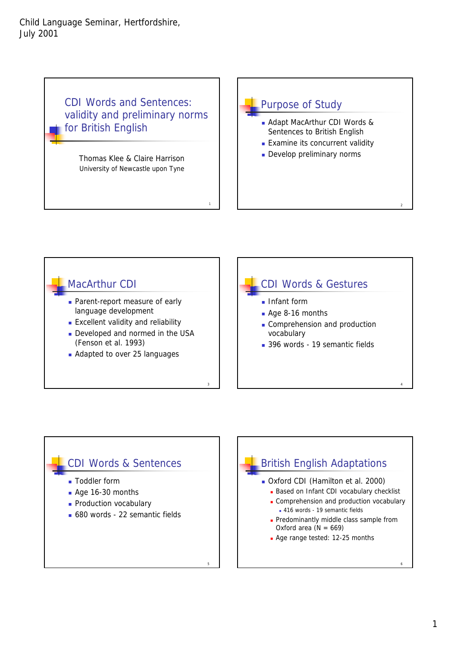CDI Words and Sentences: validity and preliminary norms for British English

> Thomas Klee & Claire Harrison University of Newcastle upon Tyne



## MacArthur CDI **Parent-report measure of early** language development **Excellent validity and reliability** Developed and normed in the USA (Fenson et al. 1993)

1

3

5

**Adapted to over 25 languages** 

## CDI Words & Gestures **Infant form**

2

4

- Age 8-16 months
- Comprehension and production vocabulary
- 396 words 19 semantic fields

## CDI Words & Sentences

- Toddler form
- Age 16-30 months
- **Production vocabulary**
- 680 words 22 semantic fields

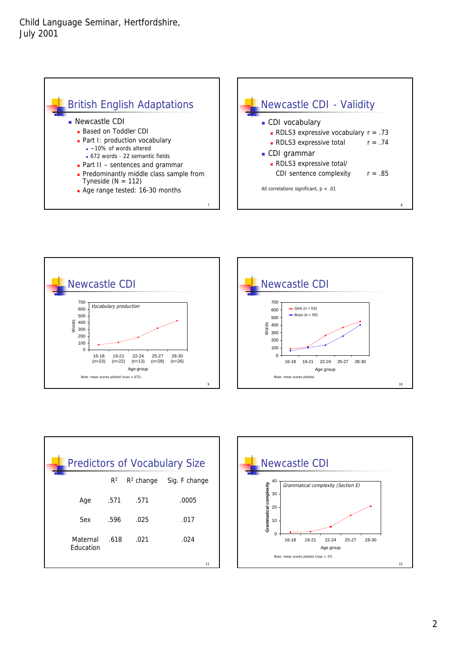









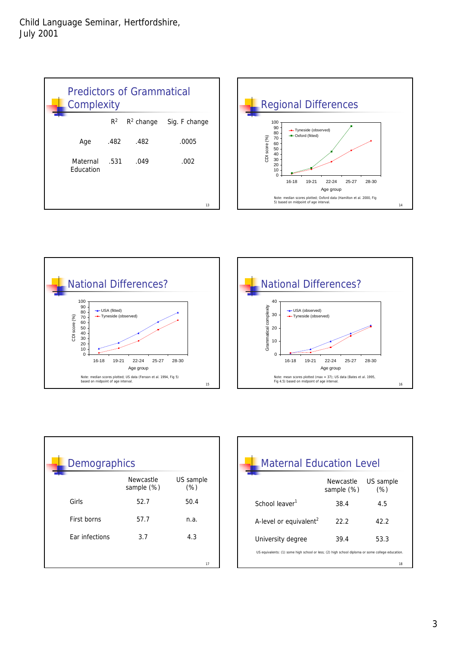| <b>Predictors of Grammatical</b><br>Complexity |       |              |               |  |  |  |
|------------------------------------------------|-------|--------------|---------------|--|--|--|
|                                                | $R^2$ | $R^2$ change | Sig. F change |  |  |  |
| Age                                            | .482  | .482         | .0005         |  |  |  |
| Maternal<br><b>Education</b>                   | .531  | .049         | .002          |  |  |  |
|                                                |       |              | 13            |  |  |  |







| <b>Demographics</b>   |                                |                   |  |  |  |  |
|-----------------------|--------------------------------|-------------------|--|--|--|--|
|                       | <b>Newcastle</b><br>sample (%) | US sample<br>(% ) |  |  |  |  |
| Girls                 | 52.7                           | 50.4              |  |  |  |  |
| First borns           | 57.7                           | n.a.              |  |  |  |  |
| <b>Far infections</b> | 3.7                            | 4.3               |  |  |  |  |
|                       |                                |                   |  |  |  |  |
|                       |                                | 17                |  |  |  |  |

| <b>Maternal Education Level</b>                                                                  |                         |                   |  |  |  |  |
|--------------------------------------------------------------------------------------------------|-------------------------|-------------------|--|--|--|--|
|                                                                                                  | Newcastle<br>sample (%) | US sample<br>(% ) |  |  |  |  |
| School leaver <sup>1</sup>                                                                       | 38.4                    | 4.5               |  |  |  |  |
| A-level or equivalent <sup>2</sup>                                                               | 22.2                    | 42.2              |  |  |  |  |
| University degree                                                                                | 39.4                    | 53.3              |  |  |  |  |
| US equivalents: (1) some high school or less; (2) high school diploma or some college education. |                         |                   |  |  |  |  |
|                                                                                                  |                         | 18                |  |  |  |  |